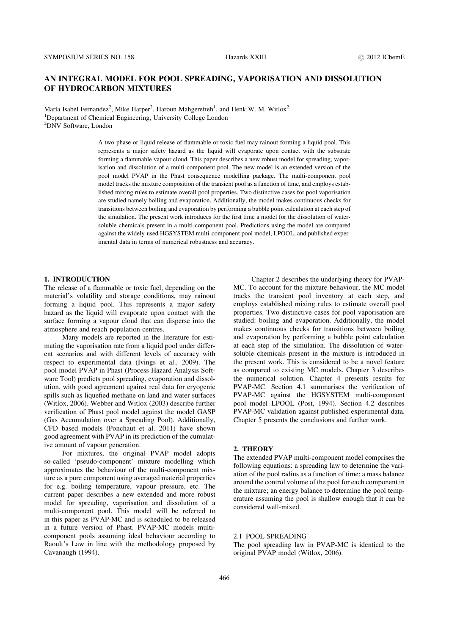# AN INTEGRAL MODEL FOR POOL SPREADING, VAPORISATION AND DISSOLUTION OF HYDROCARBON MIXTURES

María Isabel Fernandez<sup>2</sup>, Mike Harper<sup>2</sup>, Haroun Mahgerefteh<sup>1</sup>, and Henk W. M. Witlox<sup>2</sup> <sup>1</sup>Department of Chemical Engineering, University College London 2 DNV Software, London

> A two-phase or liquid release of flammable or toxic fuel may rainout forming a liquid pool. This represents a major safety hazard as the liquid will evaporate upon contact with the substrate forming a flammable vapour cloud. This paper describes a new robust model for spreading, vaporisation and dissolution of a multi-component pool. The new model is an extended version of the pool model PVAP in the Phast consequence modelling package. The multi-component pool model tracks the mixture composition of the transient pool as a function of time, and employs established mixing rules to estimate overall pool properties. Two distinctive cases for pool vaporisation are studied namely boiling and evaporation. Additionally, the model makes continuous checks for transitions between boiling and evaporation by performing a bubble point calculation at each step of the simulation. The present work introduces for the first time a model for the dissolution of watersoluble chemicals present in a multi-component pool. Predictions using the model are compared against the widely-used HGSYSTEM multi-component pool model, LPOOL, and published experimental data in terms of numerical robustness and accuracy.

#### 1. INTRODUCTION

The release of a flammable or toxic fuel, depending on the material's volatility and storage conditions, may rainout forming a liquid pool. This represents a major safety hazard as the liquid will evaporate upon contact with the surface forming a vapour cloud that can disperse into the atmosphere and reach population centres.

Many models are reported in the literature for estimating the vaporisation rate from a liquid pool under different scenarios and with different levels of accuracy with respect to experimental data (Ivings et al., 2009). The pool model PVAP in Phast (Process Hazard Analysis Software Tool) predicts pool spreading, evaporation and dissolution, with good agreement against real data for cryogenic spills such as liquefied methane on land and water surfaces (Witlox, 2006). Webber and Witlox (2003) describe further verification of Phast pool model against the model GASP (Gas Accumulation over a Spreading Pool). Additionally, CFD based models (Ponchaut et al. 2011) have shown good agreement with PVAP in its prediction of the cumulative amount of vapour generation.

For mixtures, the original PVAP model adopts so-called 'pseudo-component' mixture modelling which approximates the behaviour of the multi-component mixture as a pure component using averaged material properties for e.g. boiling temperature, vapour pressure, etc. The current paper describes a new extended and more robust model for spreading, vaporisation and dissolution of a multi-component pool. This model will be referred to in this paper as PVAP-MC and is scheduled to be released in a future version of Phast. PVAP-MC models multicomponent pools assuming ideal behaviour according to Raoult's Law in line with the methodology proposed by Cavanaugh (1994).

Chapter 2 describes the underlying theory for PVAP-MC. To account for the mixture behaviour, the MC model tracks the transient pool inventory at each step, and employs established mixing rules to estimate overall pool properties. Two distinctive cases for pool vaporisation are studied: boiling and evaporation. Additionally, the model makes continuous checks for transitions between boiling and evaporation by performing a bubble point calculation at each step of the simulation. The dissolution of watersoluble chemicals present in the mixture is introduced in the present work. This is considered to be a novel feature as compared to existing MC models. Chapter 3 describes the numerical solution. Chapter 4 presents results for PVAP-MC. Section 4.1 summarises the verification of PVAP-MC against the HGSYSTEM multi-component pool model LPOOL (Post, 1994). Section 4.2 describes PVAP-MC validation against published experimental data. Chapter 5 presents the conclusions and further work.

# 2. THEORY

The extended PVAP multi-component model comprises the following equations: a spreading law to determine the variation of the pool radius as a function of time; a mass balance around the control volume of the pool for each component in the mixture; an energy balance to determine the pool temperature assuming the pool is shallow enough that it can be considered well-mixed.

# 2.1 POOL SPREADING

The pool spreading law in PVAP-MC is identical to the original PVAP model (Witlox, 2006).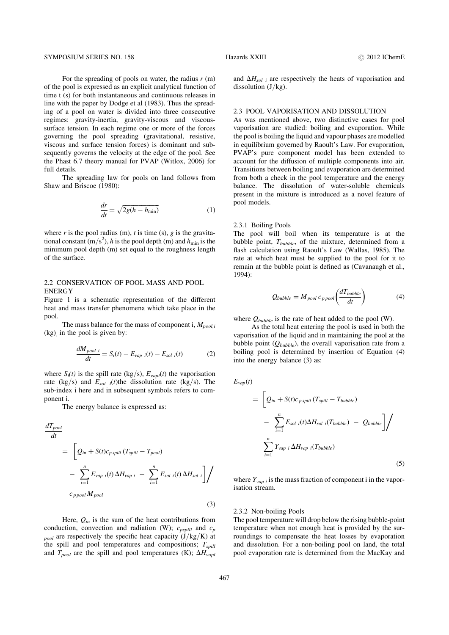#### SYMPOSIUM SERIES NO. 158 **Hazards XXIII 2012 IChemE 2012 IChemE**

For the spreading of pools on water, the radius  $r$  (m) of the pool is expressed as an explicit analytical function of time t (s) for both instantaneous and continuous releases in line with the paper by Dodge et al (1983). Thus the spreading of a pool on water is divided into three consecutive regimes: gravity-inertia, gravity-viscous and viscoussurface tension. In each regime one or more of the forces governing the pool spreading (gravitational, resistive, viscous and surface tension forces) is dominant and subsequently governs the velocity at the edge of the pool. See the Phast 6.7 theory manual for PVAP (Witlox, 2006) for full details.

The spreading law for pools on land follows from Shaw and Briscoe (1980):

$$
\frac{dr}{dt} = \sqrt{2g(h - h_{\min})} \tag{1}
$$

where  $r$  is the pool radius (m),  $t$  is time (s),  $g$  is the gravitational constant (m/s<sup>2</sup>), h is the pool depth (m) and  $h_{\min}$  is the minimum pool depth (m) set equal to the roughness length of the surface.

### 2.2 CONSERVATION OF POOL MASS AND POOL ENERGY

[Figure 1](#page-2-0) is a schematic representation of the different heat and mass transfer phenomena which take place in the pool.

The mass balance for the mass of component i,  $M_{pool,i}$ (kg), in the pool is given by:

$$
\frac{dM_{pool i}}{dt} = S_i(t) - E_{vap i}(t) - E_{sol i}(t) \tag{2}
$$

where  $S_i(t)$  is the spill rate (kg/s),  $E_{vapi}(t)$  the vaporisation rate (kg/s) and  $E_{sol}$  i(t)the dissolution rate (kg/s). The sub-index i here and in subsequent symbols refers to component i.

The energy balance is expressed as:

$$
\frac{dT_{pool}}{dt} = \left[ Q_{in} + S(t)c_{p\,spill} \left( T_{spill} - T_{pool} \right) \right]
$$
\n
$$
- \sum_{i=1}^{n} E_{vap} \left( t \right) \Delta H_{vap} \left( t - \sum_{i=1}^{n} E_{sol} \left( t \right) \Delta H_{sol} \right) \right]
$$
\n
$$
c_{p\,pool} M_{pool} \tag{3}
$$

Here,  $Q_{in}$  is the sum of the heat contributions from conduction, convection and radiation (W);  $c_{pspill}$  and  $c_p$  $_{pool}$  are respectively the specific heat capacity  $(J/kg/K)$  at the spill and pool temperatures and compositions;  $T_{split}$ and  $T_{pool}$  are the spill and pool temperatures (K);  $\Delta H_{vapi}$ 

and  $\Delta H_{sol}$  i are respectively the heats of vaporisation and dissolution  $(J/kg)$ .

#### 2.3 POOL VAPORISATION AND DISSOLUTION

As was mentioned above, two distinctive cases for pool vaporisation are studied: boiling and evaporation. While the pool is boiling the liquid and vapour phases are modelled in equilibrium governed by Raoult's Law. For evaporation, PVAP's pure component model has been extended to account for the diffusion of multiple components into air. Transitions between boiling and evaporation are determined from both a check in the pool temperature and the energy balance. The dissolution of water-soluble chemicals present in the mixture is introduced as a novel feature of pool models.

### 2.3.1 Boiling Pools

The pool will boil when its temperature is at the bubble point,  $T_{bubble}$ , of the mixture, determined from a flash calculation using Raoult's Law (Wallas, 1985). The rate at which heat must be supplied to the pool for it to remain at the bubble point is defined as (Cavanaugh et al., 1994):

$$
Q_{bubble} = M_{pool} c_{ppool} \left( \frac{dT_{bubble}}{dt} \right) \tag{4}
$$

where  $Q_{bubble}$  is the rate of heat added to the pool (W).

As the total heat entering the pool is used in both the vaporisation of the liquid and in maintaining the pool at the bubble point  $(Q_{bubble})$ , the overall vaporisation rate from a boiling pool is determined by insertion of Equation (4) into the energy balance (3) as:

$$
E_{vap}(t)
$$
\n
$$
= \left[Q_{in} + S(t)c_{p\,spill} \left(T_{spill} - T_{bubble}\right) - \sum_{i=1}^{n} E_{sol\ i}(t)\Delta H_{sol\ i} \left(T_{bubble}\right) - Q_{bubble}\right] / \sum_{i=1}^{n} Y_{vap\ i} \Delta H_{vap\ i} \left(T_{bubble}\right)
$$
\n
$$
(5)
$$

where  $Y_{vap i}$  is the mass fraction of component i in the vaporisation stream.

#### 2.3.2 Non-boiling Pools

The pool temperature will drop below the rising bubble-point temperature when not enough heat is provided by the surroundings to compensate the heat losses by evaporation and dissolution. For a non-boiling pool on land, the total pool evaporation rate is determined from the MacKay and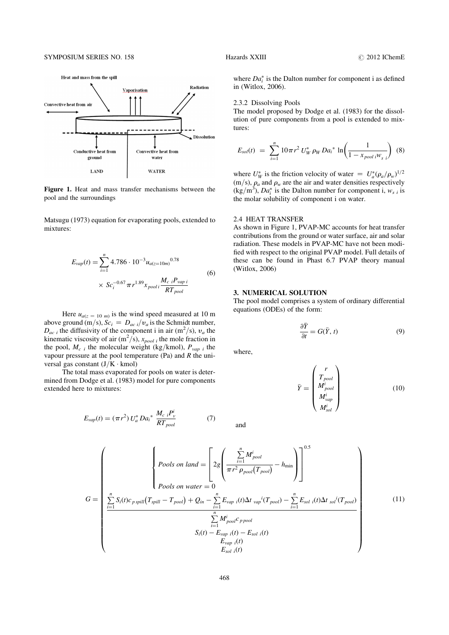<span id="page-2-0"></span>

Figure 1. Heat and mass transfer mechanisms between the pool and the surroundings

Matsugu (1973) equation for evaporating pools, extended to mixtures:

$$
E_{vap}(t) = \sum_{i=1}^{n} 4.786 \cdot 10^{-3} u_{a(z=10m)}^{0.78}
$$
  
 
$$
\times Sc_i^{-0.67} \pi r^{1.89} x_{pooli} \frac{M_{c i} P_{vap i}}{RT_{pool}}
$$
 (6)

Here  $u_{a(z = 10 \text{ m})}$  is the wind speed measured at 10 m above ground (m/s),  $Sc_i = D_{ac i}/v_a$  is the Schmidt number,  $D_{ac}$ , the diffusivity of the component i in air (m<sup>2</sup>/s),  $v_a$  the kinematic viscosity of air  $(m^2/s)$ ,  $x_{pool i}$  the mole fraction in the pool,  $M_{c}$  i the molecular weight (kg/kmol),  $P_{vap}$  i the vapour pressure at the pool temperature (Pa) and  $R$  the universal gas constant  $(J/K \cdot kmol)$ 

The total mass evaporated for pools on water is determined from Dodge et al. (1983) model for pure components extended here to mixtures:

$$
E_{vap}(t) = (\pi r^2) U_a^* D a_i^* \frac{M_c}{RT_{pool}}^{iP_v^i}
$$
 (7)

where  $Da_i^*$  is the Dalton number for component i as defined in (Witlox, 2006).

#### 2.3.2 Dissolving Pools

The model proposed by Dodge et al. (1983) for the dissolution of pure components from a pool is extended to mixtures:

$$
E_{sol}(t) = \sum_{i=1}^{n} 10\pi r^2 U_W^* \rho_W D a_i^* \ln\left(\frac{1}{1 - x_{pool i}W_{s i}}\right)
$$
 (8)

where  $U^*_W$  is the friction velocity of water  $= U^*_a(\rho_a/\rho_w)^{1/2}$  $(m/s)$ ,  $\rho_a$  and  $\rho_w$  are the air and water densities respectively  $(\text{kg/m}^3)$ ,  $Da_i^*$  is the Dalton number for component i,  $w_{s,i}$  is the molar solubility of component i on water.

#### 2.4 HEAT TRANSFER

As shown in Figure 1, PVAP-MC accounts for heat transfer contributions from the ground or water surface, air and solar radiation. These models in PVAP-MC have not been modified with respect to the original PVAP model. Full details of these can be found in Phast 6.7 PVAP theory manual (Witlox, 2006)

#### 3. NUMERICAL SOLUTION

The pool model comprises a system of ordinary differential equations (ODEs) of the form:

$$
\frac{\partial \bar{Y}}{\partial t} = G(\bar{Y}, t)
$$
 (9)

where,

$$
\bar{Y} = \begin{pmatrix} r \\ T_{pool} \\ M_{pool}^i \\ M_{vap}^i \\ M_{sol}^i \end{pmatrix}
$$
 (10)

and

$$
G = \begin{pmatrix} \begin{cases} Pools \ on \ land = \begin{bmatrix} 2g \left( \frac{\sum_{i=1}^{n} M_{pool}^{i}}{\pi r^{2} P_{pool}(T_{pool})} - h_{\min} \right) \end{bmatrix}^{0.5} \\ Pools \ on \ water = 0 \end{cases} \\ \frac{\sum_{i=1}^{n} S_{i}(t)c_{p \ spill}(T_{spill} - T_{pool}) + Q_{in} - \sum_{i=1}^{n} E_{vap}{}_{i}(t)\Delta t \ vap^{i}(T_{pool}) - \sum_{i=1}^{n} E_{sol}{}_{i}(t)\Delta t \ sol^{i}(T_{pool}) \\ \frac{\sum_{i=1}^{n} M_{pool}^{i} c_{p \ pool}}{\sum_{i=1}^{n} M_{i}^{i} P_{i}(t) - E_{sol}{}_{i}(t)} \\ S_{i}(t) - E_{vap}{}_{i}(t) \\ E_{sol}{}_{i}(t) \end{cases} \end{pmatrix} \tag{11}
$$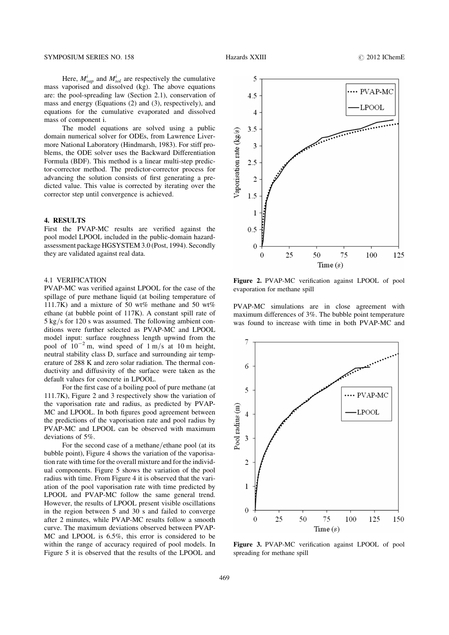Here,  $M_{vap}^i$  and  $M_{sol}^i$  are respectively the cumulative mass vaporised and dissolved (kg). The above equations are: the pool-spreading law (Section 2.1), conservation of mass and energy (Equations (2) and (3), respectively), and equations for the cumulative evaporated and dissolved mass of component i.

The model equations are solved using a public domain numerical solver for ODEs, from Lawrence Livermore National Laboratory (Hindmarsh, 1983). For stiff problems, the ODE solver uses the Backward Differentiation Formula (BDF). This method is a linear multi-step predictor-corrector method. The predictor-corrector process for advancing the solution consists of first generating a predicted value. This value is corrected by iterating over the corrector step until convergence is achieved.

### 4. RESULTS

First the PVAP-MC results are verified against the pool model LPOOL included in the public-domain hazardassessment package HGSYSTEM 3.0 (Post, 1994). Secondly they are validated against real data.

#### 4.1 VERIFICATION

PVAP-MC was verified against LPOOL for the case of the spillage of pure methane liquid (at boiling temperature of 111.7K) and a mixture of 50 wt% methane and 50 wt% ethane (at bubble point of 117K). A constant spill rate of 5 kg/s for 120 s was assumed. The following ambient conditions were further selected as PVAP-MC and LPOOL model input: surface roughness length upwind from the pool of  $10^{-2}$  m, wind speed of  $1 \text{ m/s}$  at 10 m height, neutral stability class D, surface and surrounding air temperature of 288 K and zero solar radiation. The thermal conductivity and diffusivity of the surface were taken as the default values for concrete in LPOOL.

For the first case of a boiling pool of pure methane (at 111.7K), Figure 2 and 3 respectively show the variation of the vaporisation rate and radius, as predicted by PVAP-MC and LPOOL. In both figures good agreement between the predictions of the vaporisation rate and pool radius by PVAP-MC and LPOOL can be observed with maximum deviations of 5%.

For the second case of a methane/ethane pool (at its bubble point), [Figure 4](#page-4-0) shows the variation of the vaporisation rate with time for the overall mixture and for the individual components. [Figure 5](#page-4-0) shows the variation of the pool radius with time. From [Figure 4](#page-4-0) it is observed that the variation of the pool vaporisation rate with time predicted by LPOOL and PVAP-MC follow the same general trend. However, the results of LPOOL present visible oscillations in the region between 5 and 30 s and failed to converge after 2 minutes, while PVAP-MC results follow a smooth curve. The maximum deviations observed between PVAP-MC and LPOOL is 6.5%, this error is considered to be within the range of accuracy required of pool models. In [Figure 5](#page-4-0) it is observed that the results of the LPOOL and



Figure 2. PVAP-MC verification against LPOOL of pool evaporation for methane spill

PVAP-MC simulations are in close agreement with maximum differences of 3%. The bubble point temperature was found to increase with time in both PVAP-MC and



Figure 3. PVAP-MC verification against LPOOL of pool spreading for methane spill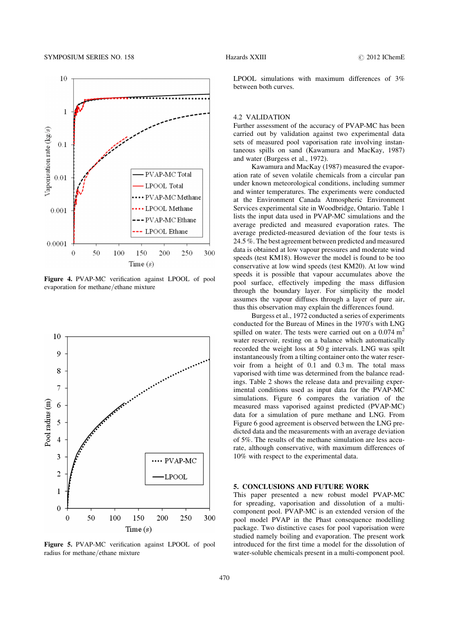<span id="page-4-0"></span>

Figure 4. PVAP-MC verification against LPOOL of pool evaporation for methane/ethane mixture



Figure 5. PVAP-MC verification against LPOOL of pool radius for methane/ethane mixture

# 470

LPOOL simulations with maximum differences of 3% between both curves.

# 4.2 VALIDATION

Further assessment of the accuracy of PVAP-MC has been carried out by validation against two experimental data sets of measured pool vaporisation rate involving instantaneous spills on sand (Kawamura and MacKay, 1987) and water (Burgess et al., 1972).

Kawamura and MacKay (1987) measured the evaporation rate of seven volatile chemicals from a circular pan under known meteorological conditions, including summer and winter temperatures. The experiments were conducted at the Environment Canada Atmospheric Environment Services experimental site in Woodbridge, Ontario. [Table 1](#page-5-0) [lists the input data used in PVAP-MC simulations and the](#page-5-0) [average predicted and measured evaporation rates. The](#page-5-0) [average predicted-measured deviation of the four tests is](#page-5-0) [24.5 %. The best agreement between predicted and measured](#page-5-0) [data is obtained at low vapour pressures and moderate wind](#page-5-0) [speeds \(test KM18\). However the model is found to be too](#page-5-0) [conservative at low wind speeds \(test KM20\). At low wind](#page-5-0) [speeds it is possible that vapour accumulates above the](#page-5-0) [pool surface, effectively impeding the mass diffusion](#page-5-0) [through the boundary layer. For simplicity the model](#page-5-0) [assumes the vapour diffuses through a layer of pure air,](#page-5-0) [thus this observation may explain the differences found.](#page-5-0)

Burgess et al., 1972 conducted a series of experiments conducted for the Bureau of Mines in the 1970′ s with LNG spilled on water. The tests were carried out on a  $0.074 \text{ m}^2$ water reservoir, resting on a balance which automatically recorded the weight loss at 50 g intervals. LNG was spilt instantaneously from a tilting container onto the water reservoir from a height of 0.1 and 0.3 m. The total mass vaporised with time was determined from the balance readings. [Table 2 shows the release data and prevailing exper](#page-5-0)[imental conditions used as input data for the PVAP-MC](#page-5-0) [simulations. Figure 6 compares the variation of the](#page-5-0) [measured mass vaporised against predicted \(PVAP-MC\)](#page-5-0) [data for a simulation of pure methane and LNG. From](#page-5-0) [Figure 6 good agreement is observed between the LNG pre](#page-5-0)[dicted data and the measurements with an average deviation](#page-5-0) [of 5%. The results of the methane simulation are less accu](#page-5-0)[rate, although conservative, with maximum differences of](#page-5-0) [10% with respect to the experimental data.](#page-5-0)

#### 5. CONCLUSIONS AND FUTURE WORK

This paper presented a new robust model PVAP-MC for spreading, vaporisation and dissolution of a multicomponent pool. PVAP-MC is an extended version of the pool model PVAP in the Phast consequence modelling package. Two distinctive cases for pool vaporisation were studied namely boiling and evaporation. The present work introduced for the first time a model for the dissolution of water-soluble chemicals present in a multi-component pool.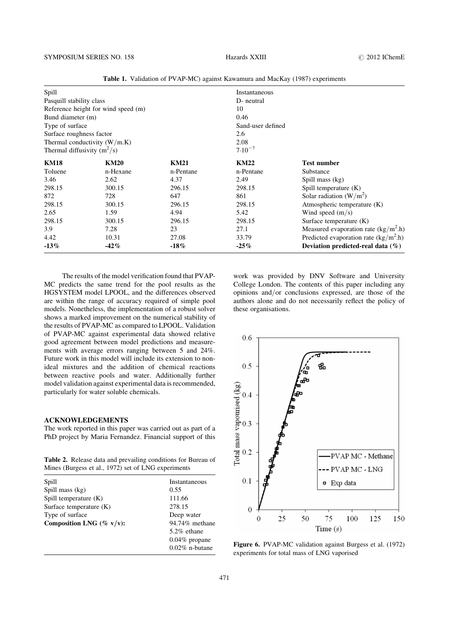<span id="page-5-0"></span>

| Spill                               |                                |             | Instantaneous     |                                        |  |
|-------------------------------------|--------------------------------|-------------|-------------------|----------------------------------------|--|
| Pasquill stability class            |                                |             | D- neutral        |                                        |  |
| Reference height for wind speed (m) |                                |             | 10                |                                        |  |
| Bund diameter (m)                   |                                |             | 0.46              |                                        |  |
| Type of surface                     |                                |             | Sand-user defined |                                        |  |
| Surface roughness factor            |                                |             | 2.6               |                                        |  |
|                                     | Thermal conductivity $(W/m.K)$ |             | 2.08              |                                        |  |
| Thermal diffusivity $(m^2/s)$       |                                |             | $7.10^{-7}$       |                                        |  |
| <b>KM18</b>                         | <b>KM20</b>                    | <b>KM21</b> | <b>KM22</b>       | <b>Test number</b>                     |  |
| Toluene                             | n-Hexane                       | n-Pentane   | n-Pentane         | Substance                              |  |
| 3.46                                | 2.62                           | 4.37        | 2.49              | Spill mass (kg)                        |  |
| 298.15                              | 300.15                         | 296.15      | 298.15            | Spill temperature (K)                  |  |
| 872                                 | 728                            | 647         | 861               | Solar radiation $(W/m^2)$              |  |
| 298.15                              | 300.15                         | 296.15      | 298.15            | Atmospheric temperature (K)            |  |
| 2.65                                | 1.59                           | 4.94        | 5.42              | Wind speed $(m/s)$                     |  |
| 298.15                              | 300.15                         | 296.15      | 298.15            | Surface temperature (K)                |  |
| 3.9                                 | 7.28                           | 23          | 27.1              | Measured evaporation rate $(kg/m2 h)$  |  |
| 4.42                                | 10.31                          | 27.08       | 33.79             | Predicted evaporation rate $(kg/m2 h)$ |  |
| $-13%$                              | $-42%$                         | $-18%$      | $-25%$            | Deviation predicted-real data $(\%)$   |  |

Table 1. Validation of PVAP-MC) against Kawamura and MacKay (1987) experiments

The results of the model verification found that PVAP-MC predicts the same trend for the pool results as the HGSYSTEM model LPOOL, and the differences observed are within the range of accuracy required of simple pool models. Nonetheless, the implementation of a robust solver shows a marked improvement on the numerical stability of the results of PVAP-MC as compared to LPOOL. Validation of PVAP-MC against experimental data showed relative good agreement between model predictions and measurements with average errors ranging between 5 and 24%. Future work in this model will include its extension to nonideal mixtures and the addition of chemical reactions between reactive pools and water. Additionally further model validation against experimental data is recommended, particularly for water soluble chemicals.

#### ACKNOWLEDGEMENTS

The work reported in this paper was carried out as part of a PhD project by Maria Fernandez. Financial support of this

Table 2. Release data and prevailing conditions for Bureau of Mines (Burgess et al., 1972) set of LNG experiments

| Spill                       | Instantaneous     |
|-----------------------------|-------------------|
| Spill mass (kg)             | 0.55              |
| Spill temperature $(K)$     | 111.66            |
| Surface temperature $(K)$   | 278.15            |
| Type of surface             | Deep water        |
| Composition LNG (% $v/v$ ): | 94.74% methane    |
|                             | $5.2\%$ ethane    |
|                             | $0.04\%$ propane  |
|                             | $0.02\%$ n-butane |

work was provided by DNV Software and University College London. The contents of this paper including any opinions and/or conclusions expressed, are those of the authors alone and do not necessarily reflect the policy of these organisations.



Figure 6. PVAP-MC validation against Burgess et al. (1972) experiments for total mass of LNG vaporised